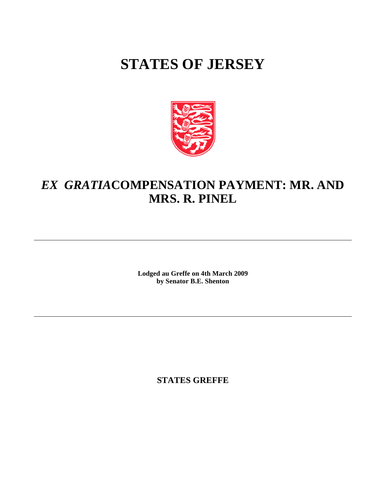# **STATES OF JERSEY**



## *EX GRATIA* **COMPENSATION PAYMENT: MR. AND MRS. R. PINEL**

**Lodged au Greffe on 4th March 2009 by Senator B.E. Shenton**

**STATES GREFFE**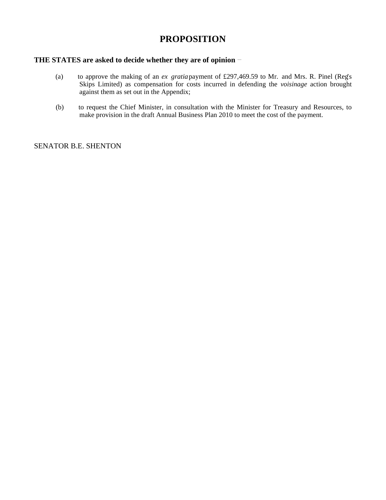## **PROPOSITION**

### **THE STATES are asked to decide whether they are of opinion**

- (a) to approve the making of an *ex gratia* payment of £297,469.59 to Mr. and Mrs. R. Pinel (Reg's Skips Limited) as compensation for costs incurred in defending the *voisinage* action brought against them as set out in the Appendix;
- (b) to request the Chief Minister, in consultation with the Minister for Treasury and Resources, to make provision in the draft Annual Business Plan 2010 to meet the cost of the payment.

SENATOR B.E. SHENTON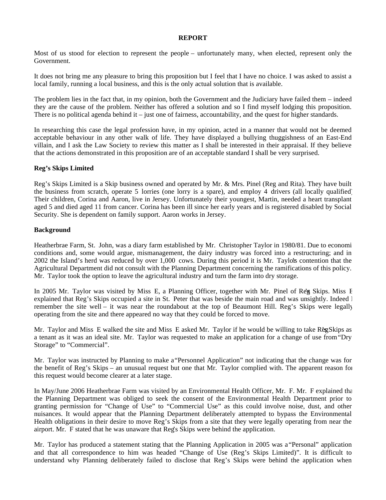#### **REPORT**

Most of us stood for election to represent the people – unfortunately many, when elected, represent only the Government.

It does not bring me any pleasure to bring this proposition but I feel that I have no choice. I was asked to assist a local family, running a local business, and this is the only actual solution that is available.

The problem lies in the fact that, in my opinion, both the Government and the Judiciary have failed them – indeed they are the cause of the problem. Neither has offered a solution and so I find myself lodging this proposition. There is no political agenda behind it – just one of fairness, accountability, and the quest for higher standards.

In researching this case the legal profession have, in my opinion, acted in a manner that would not be deemed acceptable behaviour in any other walk of life. They have displayed a bullying thuggishness of an East-End villain, and I ask the Law Society to review this matter as I shall be interested in their appraisal. If they believe that the actions demonstrated in this proposition are of an acceptable standard I shall be very surprised.

#### **Reg's Skips Limited**

Reg's Skips Limited is a Skip business owned and operated by Mr. & Mrs. Pinel (Reg and Rita). They have built the business from scratch, operate 5 lorries (one lorry is a spare), and employ 4 drivers (all locally qualified). Their children, Corina and Aaron, live in Jersey. Unfortunately their youngest, Martin, needed a heart transplant aged 5 and died aged 11 from cancer. Corina has been ill since her early years and is registered disabled by Social Security. She is dependent on family support. Aaron works in Jersey.

#### **Background**

Heatherbrae Farm, St. John, was a diary farm established by Mr. Christopher Taylor in 1980/81. Due to economi conditions and, some would argue, mismanagement, the dairy industry was forced into a restructuring; and in 2002 the Island's herd was reduced by over 1,000 cows. During this period it is Mr. Taylors contention that the Agricultural Department did not consult with the Planning Department concerning the ramifications of this policy. Mr. Taylor took the option to leave the agricultural industry and turn the farm into dry storage.

In 2005 Mr. Taylor was visited by Miss E, a Planning Officer, together with Mr. Pinel of Reg Skips. Miss E explained that Reg's Skips occupied a site in St. Peter that was beside the main road and was unsightly. Indeed I remember the site well – it was near the roundabout at the top of Beaumont Hill. Reg's Skips were legally operating from the site and there appeared no way that they could be forced to move.

Mr. Taylor and Miss E walked the site and Miss E asked Mr. Taylor if he would be willing to take Reg Skips as a tenant as it was an ideal site. Mr. Taylor was requested to make an application for a change of use from"Dry Storage" to "Commercial".

Mr. Taylor was instructed by Planning to make a"Personnel Application" not indicating that the change was for the benefit of Reg's Skips – an unusual request but one that Mr. Taylor complied with. The apparent reason for this request would become clearer at a later stage.

In May/June 2006 Heatherbrae Farm was visited by an Environmental Health Officer, Mr. F. Mr. F explained that the Planning Department was obliged to seek the consent of the Environmental Health Department prior to granting permission for "Change of Use" to "Commercial Use" as this could involve noise, dust, and other nuisances. It would appear that the Planning Department deliberately attempted to bypass the Environmental Health obligations in their desire to move Reg's Skips from a site that they were legally operating from near the airport. Mr. F stated that he was unaware that Reg's Skips were behind the application.

Mr. Taylor has produced a statement stating that the Planning Application in 2005 was a "Personal" application and that all correspondence to him was headed "Change of Use (Reg's Skips Limited)". It is difficult to understand why Planning deliberately failed to disclose that Reg's Skips were behind the application when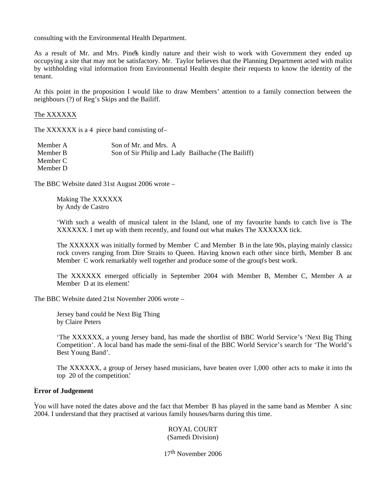consulting with the Environmental Health Department.

As a result of Mr. and Mrs. Pine's kindly nature and their wish to work with Government they ended up occupying a site that may not be satisfactory. Mr. Taylor believes that the Planning Department acted with malice by withholding vital information from Environmental Health despite their requests to know the identity of the tenant.

At this point in the proposition I would like to draw Members' attention to a family connection between the neighbours (?) of Reg's Skips and the Bailiff.

#### The XXXXXX

The XXXXXX is a 4 piece band consisting of-

| Member A | Son of Mr. and Mrs. A                              |  |
|----------|----------------------------------------------------|--|
| Member B | Son of Sir Philip and Lady Bailhache (The Bailiff) |  |
| Member C |                                                    |  |
| Member D |                                                    |  |

The BBC Website dated 31st August 2006 wrote –

Making The XXXXXX by Andy de Castro

'With such a wealth of musical talent in the Island, one of my favourite bands to catch live is The XXXXXX. I met up with them recently, and found out what makes The XXXXXX tick.

The XXXXXX was initially formed by Member C and Member B in the late 90s, playing mainly classical rock covers ranging from Dire Straits to Queen. Having known each other since birth, Member B and Member C work remarkably well together and produce some of the group's best work.

The XXXXXX emerged officially in September 2004 with Member B, Member C, Member A ard Member D at its element.

The BBC Website dated 21st November 2006 wrote –

Jersey band could be Next Big Thing by Claire Peters

'The XXXXXX, a young Jersey band, has made the shortlist of BBC World Service's 'Next Big Thing Competition'. A local band has made the semi-final of the BBC World Service's search for 'The World's Best Young Band'.

The XXXXXX, a group of Jersey based musicians, have beaten over 1,000 other acts to make it into the top 20 of the competition.'

#### **Error of Judgement**

You will have noted the dates above and the fact that Member B has played in the same band as Member A since 2004. I understand that they practised at various family houses/barns during this time.

> ROYAL COURT (Samedi Division)

17th November 2006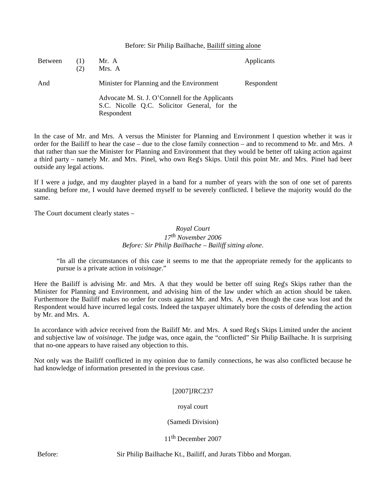#### Before: Sir Philip Bailhache, Bailiff sitting alone

| <b>Between</b> | (2) | Mr. A<br>Mrs. A                                                                                               | Applicants |
|----------------|-----|---------------------------------------------------------------------------------------------------------------|------------|
| And            |     | Minister for Planning and the Environment                                                                     | Respondent |
|                |     | Advocate M. St. J. O'Connell for the Applicants<br>S.C. Nicolle Q.C. Solicitor General, for the<br>Respondent |            |

In the case of Mr. and Mrs. A versus the Minister for Planning and Environment I question whether it was in order for the Bailiff to hear the case – due to the close family connection – and to recommend to Mr. and Mrs. A that rather than sue the Minister for Planning and Environment that they would be better off taking action against a third party – namely Mr. and Mrs. Pinel, who own Reg's Skips. Until this point Mr. and Mrs. Pinel had been outside any legal actions.

If I were a judge, and my daughter played in a band for a number of years with the son of one set of parents standing before me, I would have deemed myself to be severely conflicted. I believe the majority would do the same.

The Court document clearly states –

#### *Royal Court 17th November 2006 Before: Sir Philip Bailhache – Bailiff sitting alone*.

"In all the circumstances of this case it seems to me that the appropriate remedy for the applicants to pursue is a private action in *voisinage*."

Here the Bailiff is advising Mr. and Mrs. A that they would be better off suing Reg's Skips rather than the Minister for Planning and Environment, and advising him of the law under which an action should be taken. Furthermore the Bailiff makes no order for costs against Mr. and Mrs. A, even though the case was lost and the Respondent would have incurred legal costs. Indeed the taxpayer ultimately bore the costs of defending the action by Mr. and Mrs. A.

In accordance with advice received from the Bailiff Mr. and Mrs. A sued Reg's Skips Limited under the ancient and subjective law of *voisinage*. The judge was, once again, the "conflicted" Sir Philip Bailhache. It is surprising that no-one appears to have raised any objection to this.

Not only was the Bailiff conflicted in my opinion due to family connections, he was also conflicted because he had knowledge of information presented in the previous case.

#### [2007]JRC237

#### royal court

#### (Samedi Division)

11<sup>th</sup> December 2007

Before: Sir Philip Bailhache Kt., Bailiff, and Jurats Tibbo and Morgan.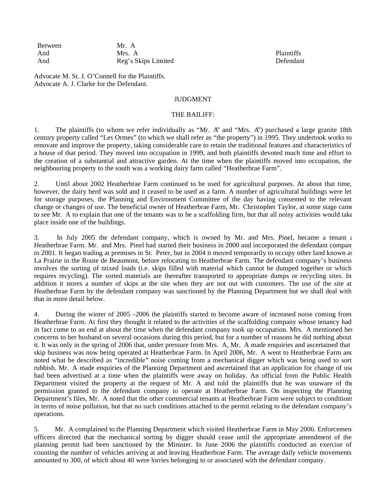Between Mr. A<br>And Mrs. A And Mrs. A Plaintiffs And Reg's Skips Limited Defendant

Advocate M. St. J. O'Connell for the Plaintiffs. Advocate A. J. Clarke for the Defendant.

#### JUDGMENT

#### THE BAILIFF:

1. The plaintiffs (to whom we refer individually as "Mr. A" and "Mrs. A") purchased a large granite 18th century property called "Les Ormes" (to which we shall refer as "the property") in 1995. They undertook works to renovate and improve the property, taking considerable care to retain the traditional features and characteristics of a house of that period. They moved into occupation in 1999, and both plaintiffs devoted much time and effort to the creation of a substantial and attractive garden. At the time when the plaintiffs moved into occupation, the neighbouring property to the south was a working dairy farm called "Heatherbrae Farm".

2. Until about 2002 Heatherbrae Farm continued to be used for agricultural purposes. At about that time, however, the dairy herd was sold and it ceased to be used as a farm. A number of agricultural buildings were let for storage purposes, the Planning and Environment Committee of the day having consented to the relevant change or changes of use. The beneficial owner of Heatherbrae Farm, Mr. Christopher Taylor, at some stage came to see Mr. A to explain that one of the tenants was to be a scaffolding firm, but that all noisy activities would take place inside one of the buildings.

3. In July 2005 the defendant company, which is owned by Mr. and Mrs. Pinel, became a tenant  $\epsilon$ Heatherbrae Farm. Mr. and Mrs. Pinel had started their business in 2000 and incorporated the defendant company in 2001. It began trading at premises in St. Peter, but in 2004 it moved temporarily to occupy other land known as La Prairie in the Route de Beaumont, before relocating to Heatherbrae Farm. The defendant company's business involves the sorting of mixed loads (i.e. skips filled with material which cannot be dumped together or which requires recycling). The sorted materials are thereafter transported to appropriate dumps or recycling sites. In addition it stores a number of skips at the site when they are not out with customers. The use of the site at Heatherbrae Farm by the defendant company was sanctioned by the Planning Department but we shall deal with that in more detail below.

4. During the winter of 2005 –2006 the plaintiffs started to become aware of increased noise coming from Heatherbrae Farm. At first they thought it related to the activities of the scaffolding company whose tenancy had in fact come to an end at about the time when the defendant company took up occupation. Mrs. A mentioned her concerns to her husband on several occasions during this period, but for a number of reasons he did nothing about it. It was only in the spring of 2006 that, under pressure from Mrs. A, Mr. A made enquiries and ascertained that a skip business was now being operated at Heatherbrae Farm. In April 2006, Mr. A went to Heatherbrae Farm and noted what he described as "incredible" noise coming from a mechanical digger which was being used to sort rubbish. Mr. A made enquiries of the Planning Department and ascertained that an application for change of use had been advertised at a time when the plaintiffs were away on holiday. An official from the Public Health Department visited the property at the request of Mr. A and told the plaintiffs that he was unaware of the permission granted to the defendant company to operate at Heatherbrae Farm. On inspecting the Planning Department's files, Mr. A noted that the other commercial tenants at Heatherbrae Farm were subject to conditions in terms of noise pollution, but that no such conditions attached to the permit relating to the defendant company's operations.

5. Mr. A complained to the Planning Department which visited Heatherbrae Farm in May 2006. Enforcement officers directed that the mechanical sorting by digger should cease until the appropriate amendment of the planning permit had been sanctioned by the Minister. In June 2006 the plaintiffs conducted an exercise of counting the number of vehicles arriving at and leaving Heatherbrae Farm. The average daily vehicle movements amounted to 300, of which about 40 were lorries belonging to or associated with the defendant company.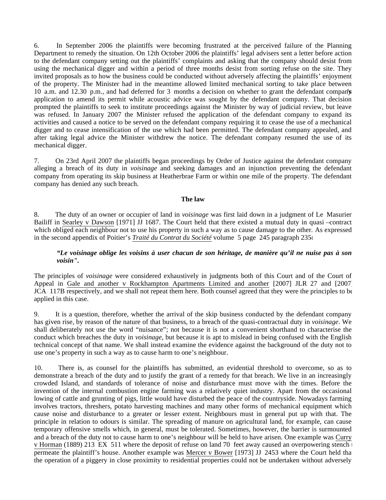6. In September 2006 the plaintiffs were becoming frustrated at the perceived failure of the Planning Department to remedy the situation. On 12th October 2006 the plaintiffs' legal advisers sent a letter before action to the defendant company setting out the plaintiffs' complaints and asking that the company should desist from using the mechanical digger and within a period of three months desist from sorting refuse on the site. They invited proposals as to how the business could be conducted without adversely affecting the plaintiffs' enjoyment of the property. The Minister had in the meantime allowed limited mechanical sorting to take place between 10 a.m. and 12.30 p.m., and had deferred for 3 months a decision on whether to grant the defendant company's application to amend its permit while acoustic advice was sought by the defendant company. That decision prompted the plaintiffs to seek to institute proceedings against the Minister by way of judicial review, but leave was refused. In January 2007 the Minister refused the application of the defendant company to expand its activities and caused a notice to be served on the defendant company requiring it to cease the use of a mechanical digger and to cease intensification of the use which had been permitted. The defendant company appealed, and after taking legal advice the Minister withdrew the notice. The defendant company resumed the use of its mechanical digger.

7. On 23rd April 2007 the plaintiffs began proceedings by Order of Justice against the defendant company alleging a breach of its duty in *voisinage* and seeking damages and an injunction preventing the defendant company from operating its skip business at Heatherbrae Farm or within one mile of the property. The defendant company has denied any such breach.

#### **The law**

8. The duty of an owner or occupier of land in *voisinage* was first laid down in a judgment of Le Masurier, Bailiff in Searley v Dawson [1971] JJ 1687. The Court held that there existed a mutual duty in quasi –contract which obliged each neighbour not to use his property in such a way as to cause damage to the other. As expressed in the second appendix of Poitier's *Traité du Contrat du Société* volume 5 page 245 paragraph 235:–

#### *"Le voisinage oblige les voisins à user chacun de son héritage, de manière qu'il ne nuise pas à son voisin".*

The principles of *voisinage* were considered exhaustively in judgments both of this Court and of the Court of Appeal in Gale and another v Rockhampton Apartments Limited and another [2007] JLR 27 and [2007] JCA 117B respectively, and we shall not repeat them here. Both counsel agreed that they were the principles to be applied in this case.

9. It is a question, therefore, whether the arrival of the skip business conducted by the defendant company has given rise, by reason of the nature of that business, to a breach of the quasi-contractual duty in *voisinage*. We shall deliberately not use the word "nuisance"; not because it is not a convenient shorthand to characterise the conduct which breaches the duty in *voisinage*, but because it is apt to mislead in being confused with the English technical concept of that name. We shall instead examine the evidence against the background of the duty not to use one's property in such a way as to cause harm to one's neighbour.

10. There is, as counsel for the plaintiffs has submitted, an evidential threshold to overcome, so as to demonstrate a breach of the duty and to justify the grant of a remedy for that breach. We live in an increasingly crowded Island, and standards of tolerance of noise and disturbance must move with the times. Before the invention of the internal combustion engine farming was a relatively quiet industry. Apart from the occasional lowing of cattle and grunting of pigs, little would have disturbed the peace of the countryside. Nowadays farming involves tractors, threshers, potato harvesting machines and many other forms of mechanical equipment which cause noise and disturbance to a greater or lesser extent. Neighbours must in general put up with that. The principle in relation to odours is similar. The spreading of manure on agricultural land, for example, can cause temporary offensive smells which, in general, must be tolerated. Sometimes, however, the barrier is surmounted and a breach of the duty not to cause harm to one's neighbour will be held to have arisen. One example was Curry v Horman (1889) 213 EX 511 where the deposit of refuse on land 70 feet away caused an overpowering stench to permeate the plaintiff's house. Another example was Mercer v Bower [1973] JJ 2453 where the Court held that the operation of a piggery in close proximity to residential properties could not be undertaken without adversely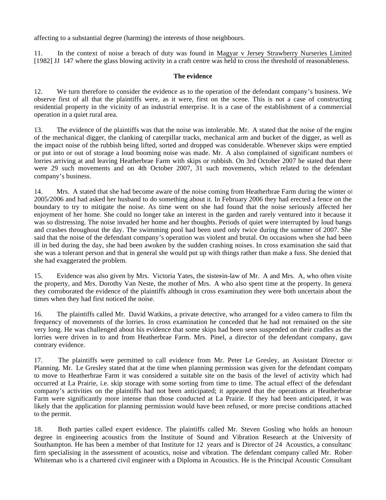affecting to a substantial degree (harming) the interests of those neighbours.

11. In the context of noise a breach of duty was found in Magyar v Jersey Strawberry Nurseries Limited [1982] JJ 147 where the glass blowing activity in a craft centre was held to cross the threshold of reasonableness.

#### **The evidence**

12. We turn therefore to consider the evidence as to the operation of the defendant company's business. We observe first of all that the plaintiffs were, as it were, first on the scene. This is not a case of constructing residential property in the vicinity of an industrial enterprise. It is a case of the establishment of a commercial operation in a quiet rural area.

13. The evidence of the plaintiffs was that the noise was intolerable. Mr. A stated that the noise of the engine of the mechanical digger, the clanking of caterpillar tracks, mechanical arm and bucket of the digger, as well as the impact noise of the rubbish being lifted, sorted and dropped was considerable. Whenever skips were emptied or put into or out of storage a loud booming noise was made. Mr. A also complained of significant numbers of lorries arriving at and leaving Heatherbrae Farm with skips or rubbish. On 3rd October 2007 he stated that there were 29 such movements and on 4th October 2007, 31 such movements, which related to the defendant company's business.

14. Mrs. A stated that she had become aware of the noise coming from Heatherbrae Farm during the winter of 2005/2006 and had asked her husband to do something about it. In February 2006 they had erected a fence on the boundary to try to mitigate the noise. As time went on she had found that the noise seriously affected her enjoyment of her home. She could no longer take an interest in the garden and rarely ventured into it because it was so distressing. The noise invaded her home and her thoughts. Periods of quiet were interrupted by loud bangs and crashes throughout the day. The swimming pool had been used only twice during the summer of 2007. She said that the noise of the defendant company's operation was violent and brutal. On occasions when she had been ill in bed during the day, she had been awoken by the sudden crashing noises. In cross examination she said that she was a tolerant person and that in general she would put up with things rather than make a fuss. She denied that she had exaggerated the problem.

15. Evidence was also given by Mrs. Victoria Yates, the sister-law of Mr. A and Mrs. A, who often visite the property, and Mrs. Dorothy Van Neste, the mother of Mrs. A who also spent time at the property. In general they corroborated the evidence of the plaintiffs although in cross examination they were both uncertain about the times when they had first noticed the noise.

16. The plaintiffs called Mr. David Watkins, a private detective, who arranged for a video camera to film the frequency of movements of the lorries. In cross examination he conceded that he had not remained on the site very long. He was challenged about his evidence that some skips had been seen suspended on their cradles as the lorries were driven in to and from Heatherbrae Farm. Mrs. Pinel, a director of the defendant company, gave contrary evidence.

17. The plaintiffs were permitted to call evidence from Mr. Peter Le Gresley, an Assistant Director of Planning. Mr. Le Gresley stated that at the time when planning permission was given for the defendant company to move to Heatherbrae Farm it was considered a suitable site on the basis of the level of activity which had occurred at La Prairie, i.e. skip storage with some sorting from time to time. The actual effect of the defendant company's activities on the plaintiffs had not been anticipated; it appeared that the operations at Heatherbrae Farm were significantly more intense than those conducted at La Prairie. If they had been anticipated, it was likely that the application for planning permission would have been refused, or more precise conditions attached to the permit.

18. Both parties called expert evidence. The plaintiffs called Mr. Steven Gosling who holds an honours degree in engineering acoustics from the Institute of Sound and Vibration Research at the University of Southampton. He has been a member of that Institute for 12 years and is Director of 24 Acoustics, a consultanc firm specialising in the assessment of acoustics, noise and vibration. The defendant company called Mr. Robert Whiteman who is a chartered civil engineer with a Diploma in Acoustics. He is the Principal Acoustic Consultant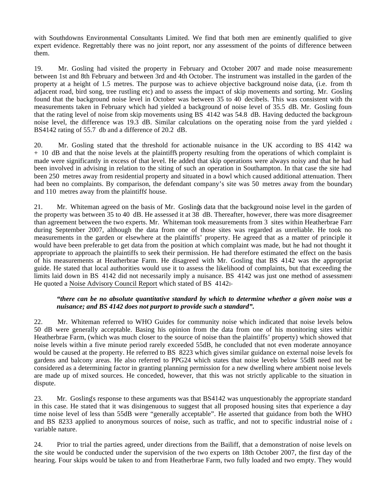with Southdowns Environmental Consultants Limited. We find that both men are eminently qualified to give expert evidence. Regrettably there was no joint report, nor any assessment of the points of difference between them.

19. Mr. Gosling had visited the property in February and October 2007 and made noise measurements between 1st and 8th February and between 3rd and 4th October. The instrument was installed in the garden of the property at a height of 1.5 metres. The purpose was to achieve objective background noise data, (i.e. from the adjacent road, bird song, tree rustling etc) and to assess the impact of skip movements and sorting. Mr. Gosling found that the background noise level in October was between 35 to 40 decibels. This was consistent with the measurements taken in February which had yielded a background of noise level of 35.5 dB. Mr. Gosling found that the rating level of noise from skip movements using BS 4142 was 54.8 dB. Having deducted the background noise level, the difference was 19.3 dB. Similar calculations on the operating noise from the yard yielded  $\epsilon$ BS4142 rating of 55.7 db and a difference of 20.2 dB.

20. Mr. Gosling stated that the threshold for actionable nuisance in the UK according to BS 4142 was + 10 dB and that the noise levels at the plaintiffs' property resulting from the operations of which complaint is made were significantly in excess of that level. He added that skip operations were always noisy and that he had been involved in advising in relation to the siting of such an operation in Southampton. In that case the site had been 250 metres away from residential property and situated in a bowl which caused additional attenuation. There had been no complaints. By comparison, the defendant company's site was 50 metres away from the boundary and 110 metres away from the plaintiffs' house.

21. Mr. Whiteman agreed on the basis of Mr. Gosling's data that the background noise level in the garden of the property was between 35 to 40 dB. He assessed it at 38 dB. Thereafter, however, there was more disagreement than agreement between the two experts. Mr. Whiteman took measurements from 3 sites within Heatherbrae Farr during September 2007, although the data from one of those sites was regarded as unreliable. He took no measurements in the garden or elsewhere at the plaintiffs' property. He agreed that as a matter of principle it would have been preferable to get data from the position at which complaint was made, but he had not thought it appropriate to approach the plaintiffs to seek their permission. He had therefore estimated the effect on the basis of his measurements at Heatherbrae Farm. He disagreed with Mr. Gosling that BS 4142 was the appropriat guide. He stated that local authorities would use it to assess the likelihood of complaints, but that exceeding the limits laid down in BS 4142 did not necessarily imply a nuisance. BS 4142 was just one method of assessment. He quoted a Noise Advisory Council Report which stated of BS 4142:

#### *"there can be no absolute quantitative standard by which to determine whether a given noise was a nuisance; and BS 4142 does not purport to provide such a standard".*

22. Mr. Whiteman referred to WHO Guides for community noise which indicated that noise levels below 50 dB were generally acceptable. Basing his opinion from the data from one of his monitoring sites within Heatherbrae Farm, (which was much closer to the source of noise than the plaintiffs' property) which showed that noise levels within a five minute period rarely exceeded 55dB, he concluded that not even moderate annoyance would be caused at the property. He referred to BS 8223 which gives similar guidance on external noise levels for gardens and balcony areas. He also referred to PPG24 which states that noise levels below 55dB need not be considered as a determining factor in granting planning permission for a new dwelling where ambient noise levels are made up of mixed sources. He conceded, however, that this was not strictly applicable to the situation in dispute.

23. Mr. Gosling's response to these arguments was that BS4142 was unquestionably the appropriate standard in this case. He stated that it was disingenuous to suggest that all proposed housing sites that experience a day time noise level of less than 55dB were "generally acceptable". He asserted that guidance from both the WHO and BS 8233 applied to anonymous sources of noise, such as traffic, and not to specific industrial noise of  $\epsilon$ variable nature.

24. Prior to trial the parties agreed, under directions from the Bailiff, that a demonstration of noise levels on the site would be conducted under the supervision of the two experts on 18th October 2007, the first day of the hearing. Four skips would be taken to and from Heatherbrae Farm, two fully loaded and two empty. They would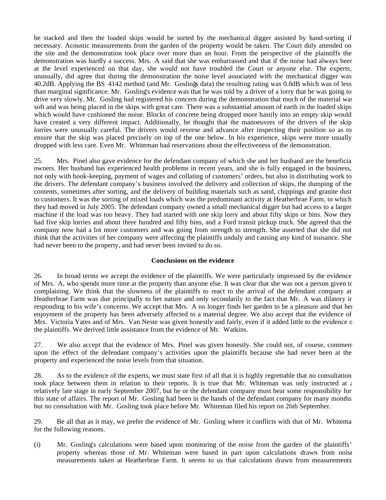be stacked and then the loaded skips would be sorted by the mechanical digger assisted by hand-sorting if necessary. Acoustic measurements from the garden of the property would be taken. The Court duly attended on the site and the demonstration took place over more than an hour. From the perspective of the plaintiffs the demonstration was hardly a success. Mrs. A said that she was embarrassed and that if the noise had always been at the level experienced on that day, she would not have troubled the Court or anyone else. The experts, unusually, did agree that during the demonstration the noise level associated with the mechanical digger was 40.2dB. Applying the BS 4142 method (and Mr. Goslings data) the resulting rating was 0.8dB which was of less than marginal significance. Mr. Gosling's evidence was that he was told by a driver of a lorry that he was going to drive very slowly. Mr. Gosling had registered his concern during the demonstration that much of the material was soft and was being placed in the skips with great care. There was a substantial amount of earth in the loaded skips which would have cushioned the noise. Blocks of concrete being dropped more hastily into an empty skip would have created a very different impact. Additionally, he thought that the manoeuvres of the drivers of the skip lorries were unusually careful. The drivers would reverse and advance after inspecting their position so as to ensure that the skip was placed precisely on top of the one below. In his experience, skips were more usually dropped with less care. Even Mr. Whiteman had reservations about the effectiveness of the demonstration.

25. Mrs. Pinel also gave evidence for the defendant company of which she and her husband are the beneficial owners. Her husband has experienced health problems in recent years, and she is fully engaged in the business, not only with book-keeping, payment of wages and collating of customers' orders, but also in distributing work to the drivers. The defendant company's business involved the delivery and collection of skips, the dumping of the contents, sometimes after sorting, and the delivery of building materials such as sand, chippings and granite dust to customers. It was the sorting of mixed loads which was the predominant activity at Heatherbrae Farm, to which they had moved in July 2005. The defendant company owned a small mechanical digger but had access to a larger machine if the load was too heavy. They had started with one skip lorry and about fifty skips or bins. Now they had five skip lorries and about three hundred and fifty bins, and a Ford transit pickup truck. She agreed that the company now had a lot more customers and was going from strength to strength. She asserted that she did not think that the activities of her company were affecting the plaintiffs unduly and causing any kind of nuisance. She had never been to the property, and had never been invited to do so.

#### **Conclusions on the evidence**

26. In broad terms we accept the evidence of the plaintiffs. We were particularly impressed by the evidence of Mrs. A, who spends more time at the property than anyone else. It was clear that she was not a person given to complaining. We think that the slowness of the plaintiffs to react to the arrival of the defendant company at Heatherbrae Farm was due principally to her nature and only secondarily to the fact that Mr. A was dilatory in responding to his wife's concerns. We accept that Mrs. A no longer finds her garden to be a pleasure and that her enjoyment of the property has been adversely affected to a material degree. We also accept that the evidence of Mrs. Victoria Yates and of Mrs. Van Neste was given honestly and fairly, even if it added little to the evidence of the plaintiffs. We derived little assistance from the evidence of Mr. Watkins.

27. We also accept that the evidence of Mrs. Pinel was given honestly. She could not, of course, comment upon the effect of the defendant company's activities upon the plaintiffs because she had never been at the property and experienced the noise levels from that situation.

28. As to the evidence of the experts, we must state first of all that it is highly regrettable that no consultation took place between them in relation to their reports. It is true that Mr. Whiteman was only instructed at  $\epsilon$ relatively late stage in early September 2007, but he or the defendant company must bear some responsibility for this state of affairs. The report of Mr. Gosling had been in the hands of the defendant company for many months, but no consultation with Mr. Gosling took place before Mr. Whiteman filed his report on 26th September.

29. Be all that as it may, we prefer the evidence of Mr. Gosling where it conflicts with that of Mr. Whitema for the following reasons.

(i) Mr. Gosling's calculations were based upon monitoring of the noise from the garden of the plaintiffs' property whereas those of Mr. Whiteman were based in part upon calculations drawn from noise measurements taken at Heatherbrae Farm. It seems to us that calculations drawn from measurements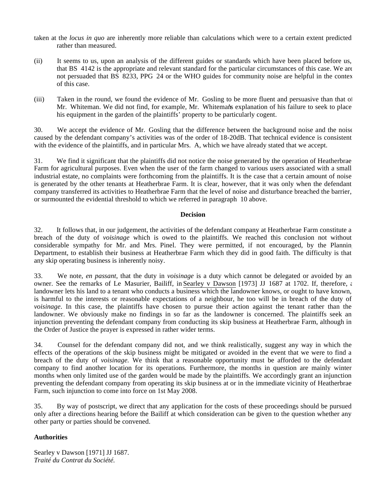- taken at the *locus in quo* are inherently more reliable than calculations which were to a certain extent predicted rather than measured.
- (ii) It seems to us, upon an analysis of the different guides or standards which have been placed before us, that BS 4142 is the appropriate and relevant standard for the particular circumstances of this case. We are not persuaded that BS 8233, PPG 24 or the WHO guides for community noise are helpful in the contex of this case.
- (iii) Taken in the round, we found the evidence of Mr. Gosling to be more fluent and persuasive than that of Mr. Whiteman. We did not find, for example, Mr. Whiteman's explanation of his failure to seek to place his equipment in the garden of the plaintiffs' property to be particularly cogent.

30. We accept the evidence of Mr. Gosling that the difference between the background noise and the noise caused by the defendant company's activities was of the order of 18-20dB. That technical evidence is consistent with the evidence of the plaintiffs, and in particular Mrs. A, which we have already stated that we accept.

31. We find it significant that the plaintiffs did not notice the noise generated by the operation of Heatherbrae Farm for agricultural purposes. Even when the user of the farm changed to various users associated with a small industrial estate, no complaints were forthcoming from the plaintiffs. It is the case that a certain amount of noise is generated by the other tenants at Heatherbrae Farm. It is clear, however, that it was only when the defendant company transferred its activities to Heatherbrae Farm that the level of noise and disturbance breached the barrier, or surmounted the evidential threshold to which we referred in paragraph 10 above.

#### **Decision**

32. It follows that, in our judgement, the activities of the defendant company at Heatherbrae Farm constitute a breach of the duty of *voisinage* which is owed to the plaintiffs. We reached this conclusion not without considerable sympathy for Mr. and Mrs. Pinel. They were permitted, if not encouraged, by the Planning Department, to establish their business at Heatherbrae Farm which they did in good faith. The difficulty is that any skip operating business is inherently noisy.

33. We note, *en passant*, that the duty in *voisinage* is a duty which cannot be delegated or avoided by an owner. See the remarks of Le Masurier, Bailiff, in Searley v Dawson [1973] JJ 1687 at 1702. If, therefore, a landowner lets his land to a tenant who conducts a business which the landowner knows, or ought to have known, is harmful to the interests or reasonable expectations of a neighbour, he too will be in breach of the duty of *voisinage*. In this case, the plaintiffs have chosen to pursue their action against the tenant rather than the landowner. We obviously make no findings in so far as the landowner is concerned. The plaintiffs seek an injunction preventing the defendant company from conducting its skip business at Heatherbrae Farm, although in the Order of Justice the prayer is expressed in rather wider terms.

34. Counsel for the defendant company did not, and we think realistically, suggest any way in which the effects of the operations of the skip business might be mitigated or avoided in the event that we were to find a breach of the duty of *voisinage.* We think that a reasonable opportunity must be afforded to the defendant company to find another location for its operations. Furthermore, the months in question are mainly winter months when only limited use of the garden would be made by the plaintiffs. We accordingly grant an injunction preventing the defendant company from operating its skip business at or in the immediate vicinity of Heatherbrae Farm, such injunction to come into force on 1st May 2008.

35. By way of postscript, we direct that any application for the costs of these proceedings should be pursued only after a directions hearing before the Bailiff at which consideration can be given to the question whether any other party or parties should be convened.

#### **Authorities**

Searley v Dawson [1971] JJ 1687. *Traité du Contrat du Société.*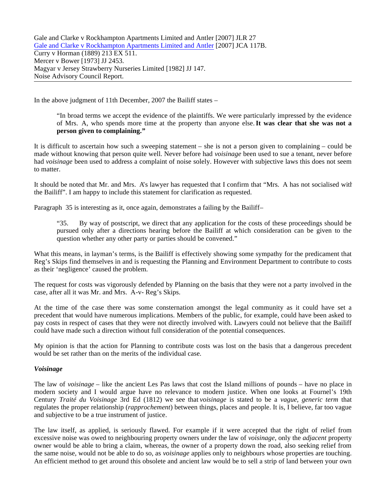Gale and Clarke v Rockhampton Apartments Limited and Antler [2007] JLR 27 Gale and Clarke v Rockhampton Apartments Limited and Antler [2007] JCA 117B. Curry v Horman (1889) 213 EX 511. Mercer v Bower [1973] JJ 2453. Magyar v Jersey Strawberry Nurseries Limited [1982] JJ 147. Noise Advisory Council Report.

In the above judgment of 11th December, 2007 the Bailiff states –

"In broad terms we accept the evidence of the plaintiffs. We were particularly impressed by the evidence of Mrs. A, who spends more time at the property than anyone else.**It was clear that she was not a person given to complaining."**

It is difficult to ascertain how such a sweeping statement – she is not a person given to complaining – could be made without knowing that person quite well. Never before had *voisinage* been used to sue a tenant, never before had *voisinage* been used to address a complaint of noise solely. However with subjective laws this does not seem to matter.

It should be noted that Mr. and Mrs. A's lawyer has requested that I confirm that "Mrs. A has not socialised with the Bailiff". I am happy to include this statement for clarification as requested.

Paragraph 35 is interesting as it, once again, demonstrates a failing by the Bailiff-

"35. By way of postscript, we direct that any application for the costs of these proceedings should be pursued only after a directions hearing before the Bailiff at which consideration can be given to the question whether any other party or parties should be convened."

What this means, in layman's terms, is the Bailiff is effectively showing some sympathy for the predicament that Reg's Skips find themselves in and is requesting the Planning and Environment Department to contribute to costs as their 'negligence' caused the problem.

The request for costs was vigorously defended by Planning on the basis that they were not a party involved in the case, after all it was Mr. and Mrs. A-v- Reg's Skips.

At the time of the case there was some consternation amongst the legal community as it could have set a precedent that would have numerous implications. Members of the public, for example, could have been asked to pay costs in respect of cases that they were not directly involved with. Lawyers could not believe that the Bailiff could have made such a direction without full consideration of the potential consequences.

My opinion is that the action for Planning to contribute costs was lost on the basis that a dangerous precedent would be set rather than on the merits of the individual case.

#### *Voisinage*

The law of *voisinage* – like the ancient Les Pas laws that cost the Island millions of pounds – have no place in modern society and I would argue have no relevance to modern justice. When one looks at Fournel's 19th Century *Traité du Voisinage* 3rd Ed (1812) we see that *voisinage* is stated to be a *vague, generic term* that regulates the proper relationship (*rapprochement*) between things, places and people. It is, I believe, far too vague and subjective to be a true instrument of justice.

The law itself, as applied, is seriously flawed. For example if it were accepted that the right of relief from excessive noise was owed to neighbouring property owners under the law of *voisinage*, only the *adjacent* property owner would be able to bring a claim, whereas, the owner of a property down the road, also seeking relief from the same noise, would not be able to do so, as *voisinage* applies only to neighbours whose properties are touching. An efficient method to get around this obsolete and ancient law would be to sell a strip of land between your own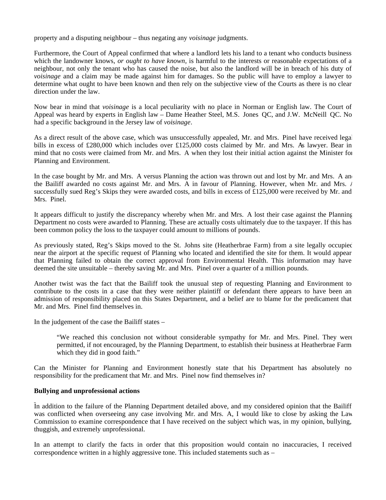property and a disputing neighbour – thus negating any *voisinage* judgments.

Furthermore, the Court of Appeal confirmed that where a landlord lets his land to a tenant who conducts business which the landowner knows, *or ought to have known*, is harmful to the interests or reasonable expectations of a neighbour, not only the tenant who has caused the noise, but also the landlord will be in breach of his duty of *voisinage* and a claim may be made against him for damages. So the public will have to employ a lawyer to determine what ought to have been known and then rely on the subjective view of the Courts as there is no clear direction under the law.

Now bear in mind that *voisinage* is a local peculiarity with no place in Norman or English law. The Court of Appeal was heard by experts in English law – Dame Heather Steel, M.S. Jones QC, and J.W. McNeill QC. No had a specific background in the Jersey law of *voisinage*.

As a direct result of the above case, which was unsuccessfully appealed, Mr. and Mrs. Pinel have received legal bills in excess of £280,000 which includes over £125,000 costs claimed by Mr. and Mrs. As lawyer. Bear in mind that no costs were claimed from Mr. and Mrs. A when they lost their initial action against the Minister for Planning and Environment.

In the case bought by Mr. and Mrs. A versus Planning the action was thrown out and lost by Mr. and Mrs. A and the Bailiff awarded no costs against Mr. and Mrs. A in favour of Planning. However, when Mr. and Mrs. *I* successfully sued Reg's Skips they were awarded costs, and bills in excess of £125,000 were received by Mr. and Mrs. Pinel.

It appears difficult to justify the discrepancy whereby when Mr. and Mrs. A lost their case against the Planning Department no costs were awarded to Planning. These are actually costs ultimately due to the taxpayer. If this has been common policy the loss to the taxpayer could amount to millions of pounds.

As previously stated, Reg's Skips moved to the St. Johns site (Heatherbrae Farm) from a site legally occupied near the airport at the specific request of Planning who located and identified the site for them. It would appear that Planning failed to obtain the correct approval from Environmental Health. This information may have deemed the site unsuitable – thereby saving Mr. and Mrs. Pinel over a quarter of a million pounds.

Another twist was the fact that the Bailiff took the unusual step of requesting Planning and Environment to contribute to the costs in a case that they were neither plaintiff or defendant there appears to have been an admission of responsibility placed on this States Department, and a belief are to blame for the predicament that Mr. and Mrs. Pinel find themselves in.

In the judgement of the case the Bailiff states –

"We reached this conclusion not without considerable sympathy for Mr. and Mrs. Pinel. They were permitted, if not encouraged, by the Planning Department, to establish their business at Heatherbrae Farm which they did in good faith."

Can the Minister for Planning and Environment honestly state that his Department has absolutely no responsibility for the predicament that Mr. and Mrs. Pinel now find themselves in?

#### **Bullying and unprofessional actions**

In addition to the failure of the Planning Department detailed above, and my considered opinion that the Bailiff was conflicted when overseeing any case involving Mr. and Mrs. A, I would like to close by asking the Law Commission to examine correspondence that I have received on the subject which was, in my opinion, bullying, thuggish, and extremely unprofessional.

In an attempt to clarify the facts in order that this proposition would contain no inaccuracies, I received correspondence written in a highly aggressive tone. This included statements such as –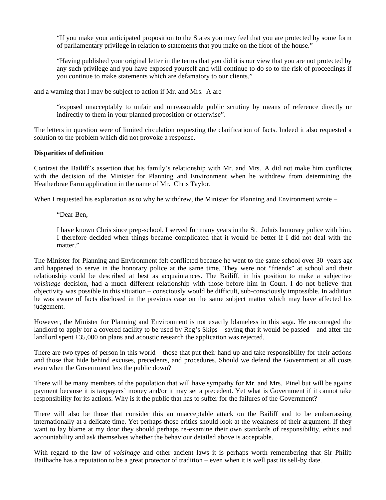"If you make your anticipated proposition to the States you may feel that you are protected by some form of parliamentary privilege in relation to statements that you make on the floor of the house."

"Having published your original letter in the terms that you did it is our view that you are not protected by any such privilege and you have exposed yourself and will continue to do so to the risk of proceedings if you continue to make statements which are defamatory to our clients."

and a warning that I may be subject to action if Mr. and Mrs. A are –

"exposed unacceptably to unfair and unreasonable public scrutiny by means of reference directly or indirectly to them in your planned proposition or otherwise".

The letters in question were of limited circulation requesting the clarification of facts. Indeed it also requested a solution to the problem which did not provoke a response.

#### **Disparities of definition**

Contrast the Bailiff's assertion that his family's relationship with Mr. and Mrs. A did not make him conflicted with the decision of the Minister for Planning and Environment when he withdrew from determining the Heatherbrae Farm application in the name of Mr. Chris Taylor.

When I requested his explanation as to why he withdrew, the Minister for Planning and Environment wrote –

"Dear Ben,

I have known Chris since prep-school. I served for many years in the St. John's honorary police with him. I therefore decided when things became complicated that it would be better if I did not deal with the matter."

The Minister for Planning and Environment felt conflicted because he went to the same school over 30 years ago and happened to serve in the honorary police at the same time. They were not "friends" at school and their relationship could be described at best as acquaintances. The Bailiff, in his position to make a subjective *voisinage* decision, had a much different relationship with those before him in Court. I do not believe that objectivity was possible in this situation – consciously would be difficult, sub-consciously impossible. In addition he was aware of facts disclosed in the previous case on the same subject matter which may have affected his judgement.

However, the Minister for Planning and Environment is not exactly blameless in this saga. He encouraged the landlord to apply for a covered facility to be used by Reg's Skips – saying that it would be passed – and after the landlord spent £35,000 on plans and acoustic research the application was rejected.

There are two types of person in this world – those that put their hand up and take responsibility for their actions and those that hide behind excuses, precedents, and procedures. Should we defend the Government at all costs even when the Government lets the public down?

There will be many members of the population that will have sympathy for Mr. and Mrs. Pinel but will be against payment because it is taxpayers' money and/or it may set a precedent. Yet what is Government if it cannot take responsibility for its actions. Why is it the public that has to suffer for the failures of the Government?

There will also be those that consider this an unacceptable attack on the Bailiff and to be embarrassing internationally at a delicate time. Yet perhaps those critics should look at the weakness of their argument. If they want to lay blame at my door they should perhaps re-examine their own standards of responsibility, ethics and accountability and ask themselves whether the behaviour detailed above is acceptable.

With regard to the law of *voisinage* and other ancient laws it is perhaps worth remembering that Sir Philip Bailhache has a reputation to be a great protector of tradition – even when it is well past its sell-by date.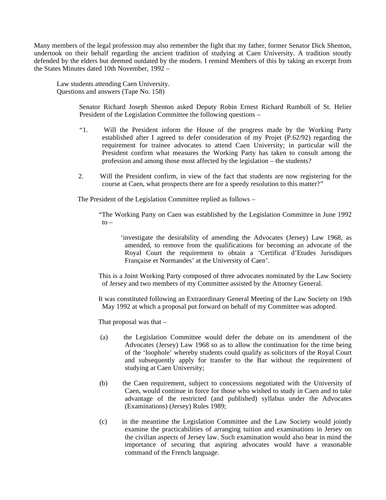Many members of the legal profession may also remember the fight that my father, former Senator Dick Shenton, undertook on their behalf regarding the ancient tradition of studying at Caen University. A tradition stoutly defended by the elders but deemed outdated by the modern. I remind Members of this by taking an excerpt from the States Minutes dated 10th November, 1992 –

Law students attending Caen University. Questions and answers (Tape No. 158)

> Senator Richard Joseph Shenton asked Deputy Robin Ernest Richard Rumboll of St. Helier, President of the Legislation Committee the following questions –

- "1. Will the President inform the House of the progress made by the Working Party established after I agreed to defer consideration of my Projet (P.62/92) regarding the requirement for trainee advocates to attend Caen University; in particular will the President confirm what measures the Working Party has taken to consult among the profession and among those most affected by the legislation – the students?
- 2. Will the President confirm, in view of the fact that students are now registering for the course at Caen, what prospects there are for a speedy resolution to this matter?"

The President of the Legislation Committee replied as follows –

 "The Working Party on Caen was established by the Legislation Committee in June 1992  $to -$ 

 'investigate the desirability of amending the Advocates (Jersey) Law 1968, as amended, to remove from the qualifications for becoming an advocate of the Royal Court the requirement to obtain a 'Certificat d'Etudes Jurisdiques Française et Normandes' at the University of Caen'.

 This is a Joint Working Party composed of three advocates nominated by the Law Society of Jersey and two members of my Committee assisted by the Attorney General.

 It was constituted following an Extraordinary General Meeting of the Law Society on 19th May 1992 at which a proposal put forward on behalf of my Committee was adopted.

That proposal was that –

- (a) the Legislation Committee would defer the debate on its amendment of the Advocates (Jersey) Law 1968 so as to allow the continuation for the time being of the 'loophole' whereby students could qualify as solicitors of the Royal Court and subsequently apply for transfer to the Bar without the requirement of studying at Caen University;
- (b) the Caen requirement, subject to concessions negotiated with the University of Caen, would continue in force for those who wished to study in Caen and to take advantage of the restricted (and published) syllabus under the Advocates (Examinations) (Jersey) Rules 1989;
- (c) in the meantime the Legislation Committee and the Law Society would jointly examine the practicabilities of arranging tuition and examinations in Jersey on the civilian aspects of Jersey law. Such examination would also bear in mind the importance of securing that aspiring advocates would have a reasonable command of the French language.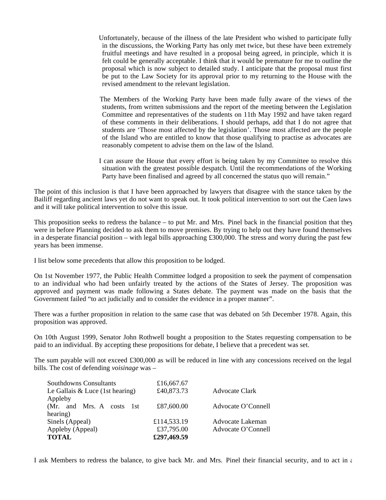Unfortunately, because of the illness of the late President who wished to participate fully in the discussions, the Working Party has only met twice, but these have been extremely fruitful meetings and have resulted in a proposal being agreed, in principle, which it is felt could be generally acceptable. I think that it would be premature for me to outline the proposal which is now subject to detailed study. I anticipate that the proposal must first be put to the Law Society for its approval prior to my returning to the House with the revised amendment to the relevant legislation.

 The Members of the Working Party have been made fully aware of the views of the students, from written submissions and the report of the meeting between the Legislation Committee and representatives of the students on 11th May 1992 and have taken regard of these comments in their deliberations. I should perhaps, add that I do not agree that students are 'Those most affected by the legislation'. Those most affected are the people of the Island who are entitled to know that those qualifying to practise as advocates are reasonably competent to advise them on the law of the Island.

 I can assure the House that every effort is being taken by my Committee to resolve this situation with the greatest possible despatch. Until the recommendations of the Working Party have been finalised and agreed by all concerned the status quo will remain."

The point of this inclusion is that I have been approached by lawyers that disagree with the stance taken by the Bailiff regarding ancient laws yet do not want to speak out. It took political intervention to sort out the Caen laws and it will take political intervention to solve this issue.

This proposition seeks to redress the balance – to put Mr. and Mrs. Pinel back in the financial position that they were in before Planning decided to ask them to move premises. By trying to help out they have found themselves in a desperate financial position – with legal bills approaching £300,000. The stress and worry during the past few years has been immense.

I list below some precedents that allow this proposition to be lodged.

On 1st November 1977, the Public Health Committee lodged a proposition to seek the payment of compensation to an individual who had been unfairly treated by the actions of the States of Jersey. The proposition was approved and payment was made following a States debate. The payment was made on the basis that the Government failed "to act judicially and to consider the evidence in a proper manner".

There was a further proposition in relation to the same case that was debated on 5th December 1978. Again, this proposition was approved.

On 10th August 1999, Senator John Rothwell bought a proposition to the States requesting compensation to be paid to an individual. By accepting these propositions for debate, I believe that a precedent was set.

The sum payable will not exceed £300,000 as will be reduced in line with any concessions received on the legal bills. The cost of defending *voisinage* was –

| <b>Southdowns Consultants</b>     | £16,667.67                |                                        |
|-----------------------------------|---------------------------|----------------------------------------|
| Le Gallais $& Luce$ (1st hearing) | £40,873.73                | <b>Advocate Clark</b>                  |
| Appleby                           |                           |                                        |
| (Mr. and Mrs. A costs 1st         | £87,600.00                | Advocate O'Connell                     |
| hearing)                          |                           |                                        |
| Sinels (Appeal)                   | £114,533.19<br>£37,795.00 | Advocate Lakeman<br>Advocate O'Connell |
| Appleby (Appeal)                  |                           |                                        |
| <b>TOTAL</b>                      | £297,469.59               |                                        |
|                                   |                           |                                        |

I ask Members to redress the balance, to give back Mr. and Mrs. Pinel their financial security, and to act in  $\epsilon$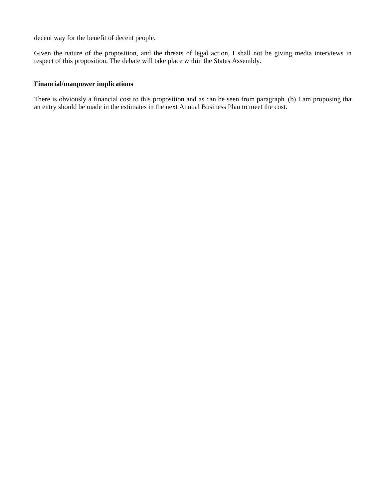decent way for the benefit of decent people.

Given the nature of the proposition, and the threats of legal action, I shall not be giving media interviews in respect of this proposition. The debate will take place within the States Assembly.

#### **Financial/manpower implications**

There is obviously a financial cost to this proposition and as can be seen from paragraph (b) I am proposing that an entry should be made in the estimates in the next Annual Business Plan to meet the cost.